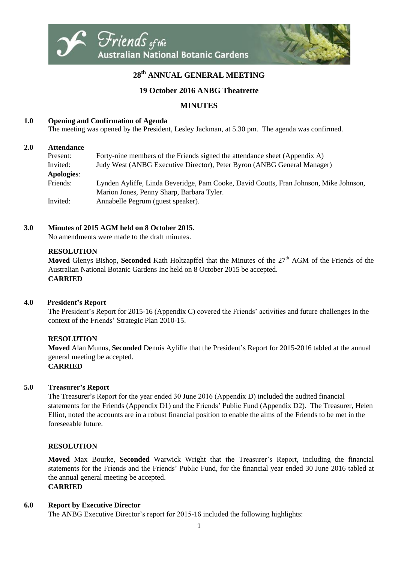

# **28 th ANNUAL GENERAL MEETING**

## **19 October 2016 ANBG Theatrette**

# **MINUTES**

## **1.0 Opening and Confirmation of Agenda**

The meeting was opened by the President, Lesley Jackman, at 5.30 pm. The agenda was confirmed.

#### **2.0 Attendance**

| Present:          | Forty-nine members of the Friends signed the attendance sheet (Appendix A)            |
|-------------------|---------------------------------------------------------------------------------------|
| Invited:          | Judy West (ANBG Executive Director), Peter Byron (ANBG General Manager)               |
| <b>Apologies:</b> |                                                                                       |
| Friends:          | Lynden Ayliffe, Linda Beveridge, Pam Cooke, David Coutts, Fran Johnson, Mike Johnson, |
|                   | Marion Jones, Penny Sharp, Barbara Tyler.                                             |
| Invited:          | Annabelle Pegrum (guest speaker).                                                     |

#### **3.0 Minutes of 2015 AGM held on 8 October 2015.**

No amendments were made to the draft minutes.

#### **RESOLUTION**

**Moved** Glenys Bishop, **Seconded** Kath Holtzapffel that the Minutes of the 27<sup>th</sup> AGM of the Friends of the Australian National Botanic Gardens Inc held on 8 October 2015 be accepted. **CARRIED**

#### **4.0 President's Report**

The President's Report for 2015-16 (Appendix C) covered the Friends' activities and future challenges in the context of the Friends' Strategic Plan 2010-15.

## **RESOLUTION**

**Moved** Alan Munns, **Seconded** Dennis Ayliffe that the President's Report for 2015-2016 tabled at the annual general meeting be accepted. **CARRIED**

#### **5.0 Treasurer's Report**

The Treasurer's Report for the year ended 30 June 2016 (Appendix D) included the audited financial statements for the Friends (Appendix D1) and the Friends' Public Fund (Appendix D2). The Treasurer, Helen Elliot, noted the accounts are in a robust financial position to enable the aims of the Friends to be met in the foreseeable future.

## **RESOLUTION**

**Moved** Max Bourke, **Seconded** Warwick Wright that the Treasurer's Report, including the financial statements for the Friends and the Friends' Public Fund, for the financial year ended 30 June 2016 tabled at the annual general meeting be accepted. **CARRIED**

#### **6.0 Report by Executive Director**

The ANBG Executive Director's report for 2015-16 included the following highlights: